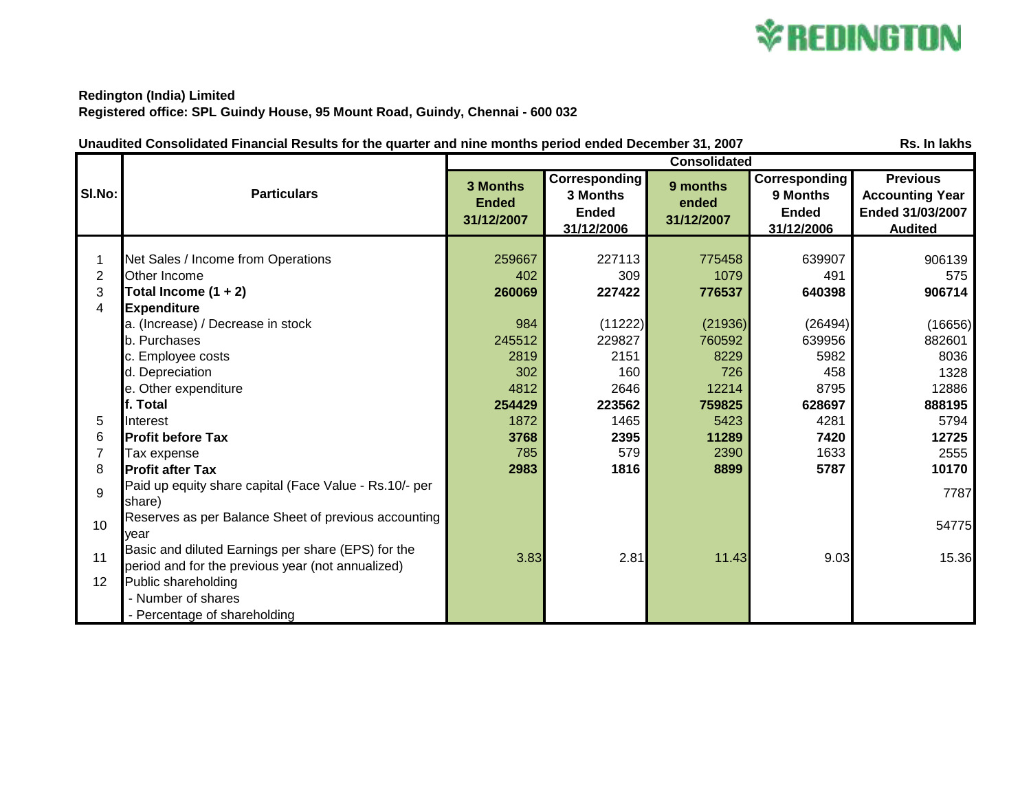

## **Redington (India) Limited Registered office: SPL Guindy House, 95 Mount Road, Guindy, Chennai - 600 032**

| Rs. In lakhs<br>Unaudited Consolidated Financial Results for the quarter and nine months period ended December 31, 2007 |                                                                                                                                                                                                                                     |                                                                           |                                                                               |                                                                                 |                                                                               |                                                                                 |
|-------------------------------------------------------------------------------------------------------------------------|-------------------------------------------------------------------------------------------------------------------------------------------------------------------------------------------------------------------------------------|---------------------------------------------------------------------------|-------------------------------------------------------------------------------|---------------------------------------------------------------------------------|-------------------------------------------------------------------------------|---------------------------------------------------------------------------------|
|                                                                                                                         | <b>Particulars</b>                                                                                                                                                                                                                  | <b>Consolidated</b>                                                       |                                                                               |                                                                                 |                                                                               |                                                                                 |
| SI.No:                                                                                                                  |                                                                                                                                                                                                                                     | <b>3 Months</b><br><b>Ended</b><br>31/12/2007                             | <b>Corresponding</b><br>3 Months<br><b>Ended</b><br>31/12/2006                | 9 months<br>ended<br>31/12/2007                                                 | <b>Corresponding</b><br>9 Months<br><b>Ended</b><br>31/12/2006                | <b>Previous</b><br><b>Accounting Year</b><br>Ended 31/03/2007<br><b>Audited</b> |
| 1<br>$\overline{2}$<br>3<br>4                                                                                           | Net Sales / Income from Operations<br>Other Income<br>Total Income $(1 + 2)$<br><b>Expenditure</b><br>a. (Increase) / Decrease in stock<br>b. Purchases<br>c. Employee costs<br>d. Depreciation<br>e. Other expenditure<br>f. Total | 259667<br>402<br>260069<br>984<br>245512<br>2819<br>302<br>4812<br>254429 | 227113<br>309<br>227422<br>(11222)<br>229827<br>2151<br>160<br>2646<br>223562 | 775458<br>1079<br>776537<br>(21936)<br>760592<br>8229<br>726<br>12214<br>759825 | 639907<br>491<br>640398<br>(26494)<br>639956<br>5982<br>458<br>8795<br>628697 | 906139<br>575<br>906714<br>(16656)<br>882601<br>8036<br>1328<br>12886<br>888195 |
| 5                                                                                                                       | Interest                                                                                                                                                                                                                            | 1872                                                                      | 1465                                                                          | 5423                                                                            | 4281                                                                          | 5794                                                                            |
| 6                                                                                                                       | <b>Profit before Tax</b>                                                                                                                                                                                                            | 3768                                                                      | 2395                                                                          | 11289                                                                           | 7420                                                                          | 12725                                                                           |
| $\overline{7}$                                                                                                          | Tax expense                                                                                                                                                                                                                         | 785                                                                       | 579                                                                           | 2390                                                                            | 1633                                                                          | 2555                                                                            |
| 8                                                                                                                       | <b>Profit after Tax</b>                                                                                                                                                                                                             | 2983                                                                      | 1816                                                                          | 8899                                                                            | 5787                                                                          | 10170                                                                           |
| 9                                                                                                                       | Paid up equity share capital (Face Value - Rs.10/- per<br>share)                                                                                                                                                                    |                                                                           |                                                                               |                                                                                 |                                                                               | 7787                                                                            |
| 10                                                                                                                      | Reserves as per Balance Sheet of previous accounting<br>vear                                                                                                                                                                        |                                                                           |                                                                               |                                                                                 |                                                                               | 54775                                                                           |
| 11<br>12                                                                                                                | Basic and diluted Earnings per share (EPS) for the<br>period and for the previous year (not annualized)<br>Public shareholding<br>- Number of shares<br>- Percentage of shareholding                                                | 3.83                                                                      | 2.81                                                                          | 11.43                                                                           | 9.03                                                                          | 15.36                                                                           |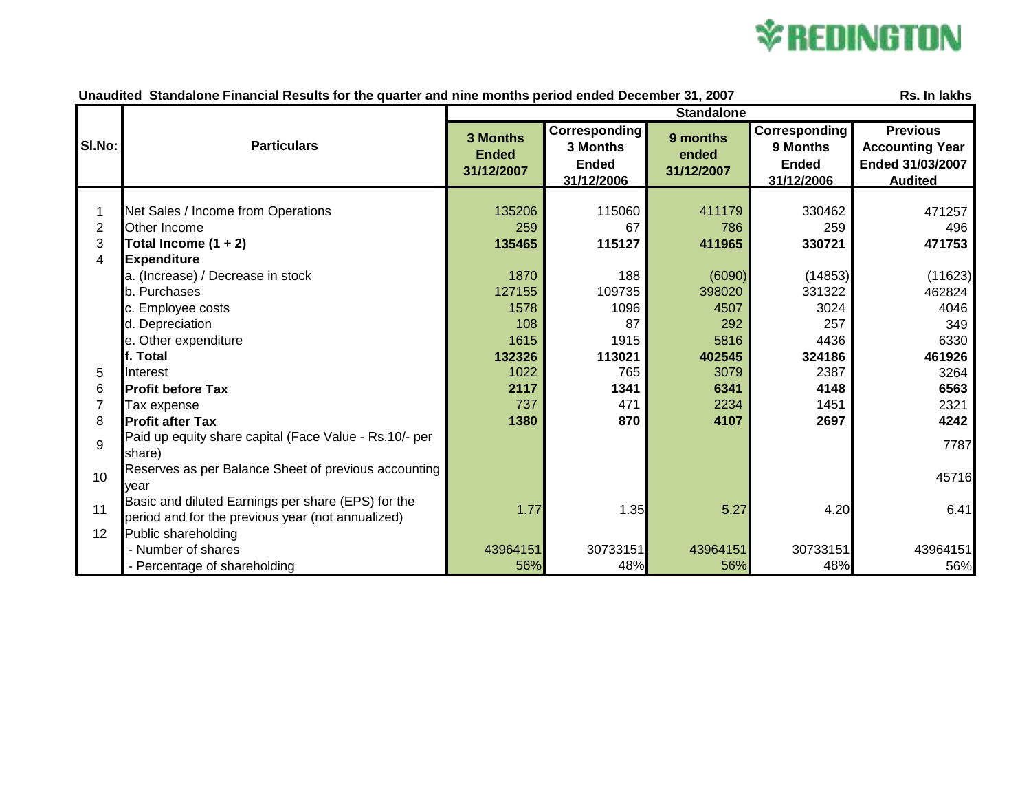## **\*REDINGTON**

| Unaudited Standalone Financial Results for the quarter and nine months period ended December 31, 2007<br>Rs. In lakhs |                                                                                                         |                                        |                                                         |                                 |                                                                |                                                                                 |
|-----------------------------------------------------------------------------------------------------------------------|---------------------------------------------------------------------------------------------------------|----------------------------------------|---------------------------------------------------------|---------------------------------|----------------------------------------------------------------|---------------------------------------------------------------------------------|
|                                                                                                                       |                                                                                                         | <b>Standalone</b>                      |                                                         |                                 |                                                                |                                                                                 |
| SI.No:                                                                                                                | <b>Particulars</b>                                                                                      | 3 Months<br><b>Ended</b><br>31/12/2007 | Corresponding<br>3 Months<br><b>Ended</b><br>31/12/2006 | 9 months<br>ended<br>31/12/2007 | <b>Corresponding</b><br>9 Months<br><b>Ended</b><br>31/12/2006 | <b>Previous</b><br><b>Accounting Year</b><br>Ended 31/03/2007<br><b>Audited</b> |
|                                                                                                                       |                                                                                                         |                                        |                                                         |                                 |                                                                |                                                                                 |
| 1                                                                                                                     | Net Sales / Income from Operations                                                                      | 135206                                 | 115060                                                  | 411179                          | 330462                                                         | 471257                                                                          |
| $\overline{2}$                                                                                                        | Other Income                                                                                            | 259                                    | 67                                                      | 786                             | 259                                                            | 496                                                                             |
| 3                                                                                                                     | Total Income $(1 + 2)$                                                                                  | 135465                                 | 115127                                                  | 411965                          | 330721                                                         | 471753                                                                          |
| 4                                                                                                                     | <b>Expenditure</b>                                                                                      |                                        |                                                         |                                 |                                                                |                                                                                 |
|                                                                                                                       | a. (Increase) / Decrease in stock                                                                       | 1870                                   | 188                                                     | (6090)                          | (14853)                                                        | (11623)                                                                         |
|                                                                                                                       | b. Purchases                                                                                            | 127155                                 | 109735                                                  | 398020                          | 331322                                                         | 462824                                                                          |
|                                                                                                                       | c. Employee costs                                                                                       | 1578                                   | 1096                                                    | 4507                            | 3024                                                           | 4046                                                                            |
|                                                                                                                       | d. Depreciation                                                                                         | 108                                    | 87                                                      | 292                             | 257                                                            | 349                                                                             |
|                                                                                                                       | e. Other expenditure                                                                                    | 1615                                   | 1915                                                    | 5816                            | 4436                                                           | 6330                                                                            |
|                                                                                                                       | f. Total                                                                                                | 132326                                 | 113021                                                  | 402545                          | 324186                                                         | 461926                                                                          |
| 5                                                                                                                     | Interest                                                                                                | 1022                                   | 765                                                     | 3079                            | 2387                                                           | 3264                                                                            |
| 6                                                                                                                     | <b>Profit before Tax</b>                                                                                | 2117                                   | 1341                                                    | 6341                            | 4148                                                           | 6563                                                                            |
| 7                                                                                                                     | Tax expense                                                                                             | 737                                    | 471                                                     | 2234                            | 1451                                                           | 2321                                                                            |
| 8                                                                                                                     | <b>Profit after Tax</b>                                                                                 | 1380                                   | 870                                                     | 4107                            | 2697                                                           | 4242                                                                            |
| 9                                                                                                                     | Paid up equity share capital (Face Value - Rs.10/- per<br>share)                                        |                                        |                                                         |                                 |                                                                | 7787                                                                            |
| 10                                                                                                                    | Reserves as per Balance Sheet of previous accounting<br>vear                                            |                                        |                                                         |                                 |                                                                | 45716                                                                           |
| 11                                                                                                                    | Basic and diluted Earnings per share (EPS) for the<br>period and for the previous year (not annualized) | 1.77                                   | 1.35                                                    | 5.27                            | 4.20                                                           | 6.41                                                                            |
| 12                                                                                                                    | Public shareholding                                                                                     |                                        |                                                         |                                 |                                                                |                                                                                 |
|                                                                                                                       | - Number of shares                                                                                      | 43964151                               | 30733151                                                | 43964151                        | 30733151                                                       | 43964151                                                                        |
|                                                                                                                       | - Percentage of shareholding                                                                            | 56%                                    | 48%                                                     | 56%                             | 48%                                                            | 56%                                                                             |